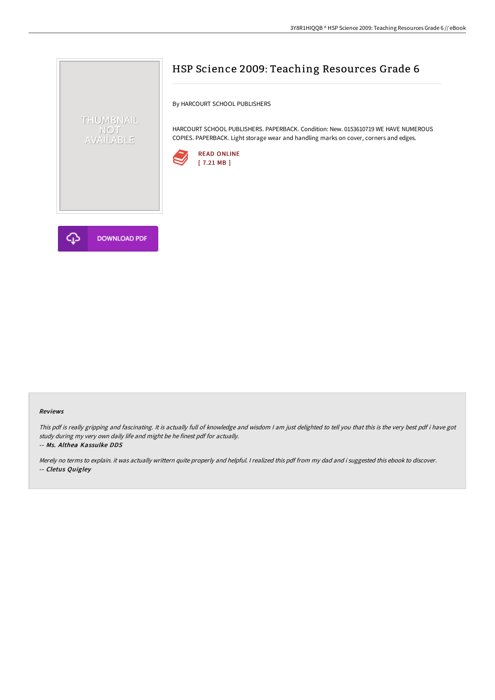



# HSP Science 2009: Teaching Resources Grade 6

By HARCOURT SCHOOL PUBLISHERS

HARCOURT SCHOOL PUBLISHERS. PAPERBACK. Condition: New. 0153610719 WE HAVE NUMEROUS COPIES. PAPERBACK. Light storage wear and handling marks on cover, corners and edges.



#### Reviews

This pdf is really gripping and fascinating. It is actually full of knowledge and wisdom I am just delighted to tell you that this is the very best pdf i have got study during my very own daily life and might be he finest pdf for actually.

-- Ms. Althea Kassulke DDS

Merely no terms to explain. it was actually writtern quite properly and helpful. <sup>I</sup> realized this pdf from my dad and i suggested this ebook to discover. -- Cletus Quigley